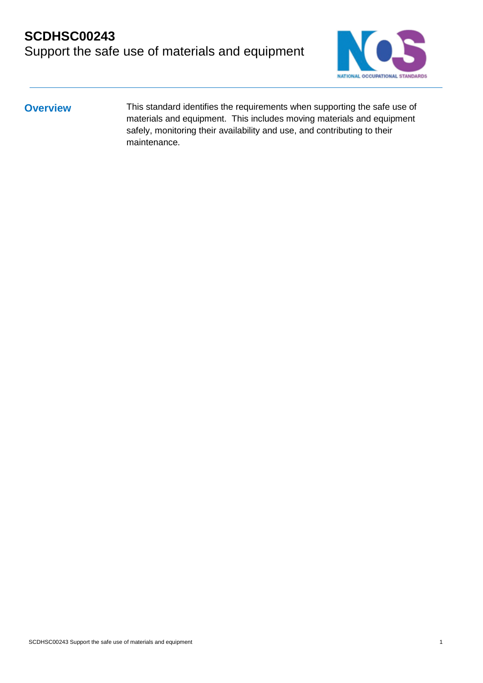# **SCDHSC00243** Support the safe use of materials and equipment



**Overview** This standard identifies the requirements when supporting the safe use of materials and equipment. This includes moving materials and equipment safely, monitoring their availability and use, and contributing to their maintenance.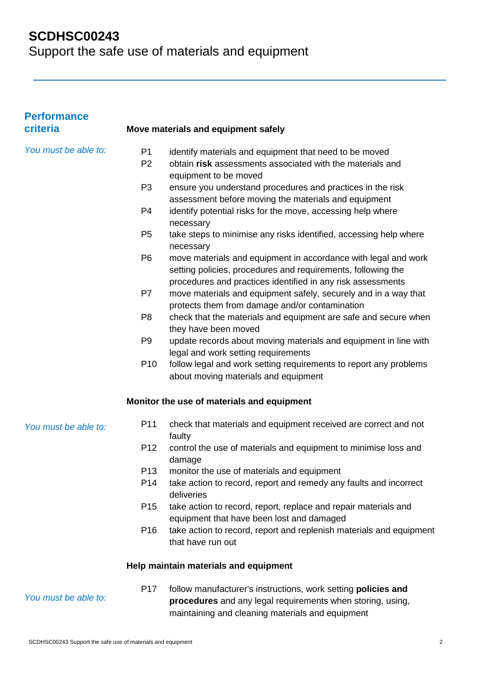| <b>Performance</b><br>criteria |                 | Move materials and equipment safely                                                                                                                                                    |
|--------------------------------|-----------------|----------------------------------------------------------------------------------------------------------------------------------------------------------------------------------------|
| You must be able to:           | P <sub>1</sub>  | identify materials and equipment that need to be moved                                                                                                                                 |
|                                | P <sub>2</sub>  | obtain risk assessments associated with the materials and                                                                                                                              |
|                                |                 | equipment to be moved                                                                                                                                                                  |
|                                | P <sub>3</sub>  | ensure you understand procedures and practices in the risk                                                                                                                             |
|                                |                 | assessment before moving the materials and equipment                                                                                                                                   |
|                                | P <sub>4</sub>  | identify potential risks for the move, accessing help where                                                                                                                            |
|                                |                 | necessary                                                                                                                                                                              |
|                                | P <sub>5</sub>  | take steps to minimise any risks identified, accessing help where<br>necessary                                                                                                         |
|                                | P <sub>6</sub>  | move materials and equipment in accordance with legal and work                                                                                                                         |
|                                |                 | setting policies, procedures and requirements, following the                                                                                                                           |
|                                |                 | procedures and practices identified in any risk assessments                                                                                                                            |
|                                | P7              | move materials and equipment safely, securely and in a way that                                                                                                                        |
|                                |                 | protects them from damage and/or contamination                                                                                                                                         |
|                                | P <sub>8</sub>  | check that the materials and equipment are safe and secure when                                                                                                                        |
|                                |                 | they have been moved                                                                                                                                                                   |
|                                | P <sub>9</sub>  | update records about moving materials and equipment in line with                                                                                                                       |
|                                |                 | legal and work setting requirements                                                                                                                                                    |
|                                | P <sub>10</sub> | follow legal and work setting requirements to report any problems                                                                                                                      |
|                                |                 | about moving materials and equipment                                                                                                                                                   |
|                                |                 | Monitor the use of materials and equipment                                                                                                                                             |
| You must be able to:           | P <sub>11</sub> | check that materials and equipment received are correct and not<br>faulty                                                                                                              |
|                                | P <sub>12</sub> | control the use of materials and equipment to minimise loss and<br>damage                                                                                                              |
|                                | P <sub>13</sub> | monitor the use of materials and equipment                                                                                                                                             |
|                                | P <sub>14</sub> | take action to record, report and remedy any faults and incorrect<br>deliveries                                                                                                        |
|                                | P <sub>15</sub> | take action to record, report, replace and repair materials and                                                                                                                        |
|                                |                 | equipment that have been lost and damaged                                                                                                                                              |
|                                | P <sub>16</sub> | take action to record, report and replenish materials and equipment<br>that have run out                                                                                               |
|                                |                 | Help maintain materials and equipment                                                                                                                                                  |
| You must be able to:           | P <sub>17</sub> | follow manufacturer's instructions, work setting <b>policies and</b><br>procedures and any legal requirements when storing, using,<br>maintaining and cleaning materials and equipment |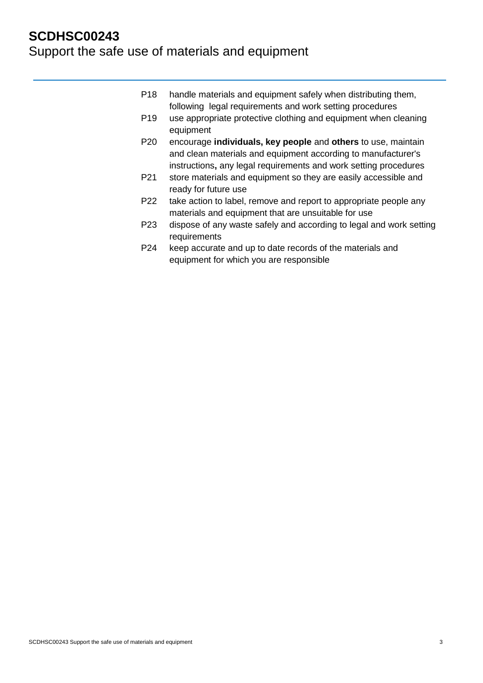- P18 handle materials and equipment safely when distributing them, following legal requirements and work setting procedures
- P19 use appropriate protective clothing and equipment when cleaning equipment
- P20 encourage **individuals, key people** and **others** to use, maintain and clean materials and equipment according to manufacturer's instructions**,** any legal requirements and work setting procedures
- P21 store materials and equipment so they are easily accessible and ready for future use
- P22 take action to label, remove and report to appropriate people any materials and equipment that are unsuitable for use
- P23 dispose of any waste safely and according to legal and work setting requirements
- P24 keep accurate and up to date records of the materials and equipment for which you are responsible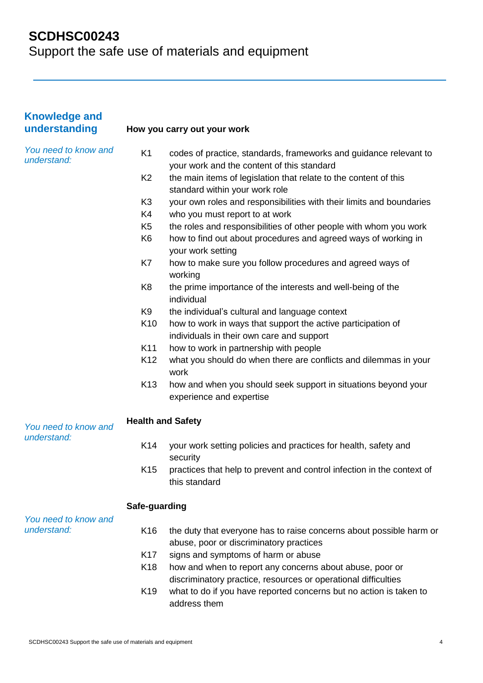| <b>Knowledge and</b><br>understanding |                 | How you carry out your work                                                                                                |  |
|---------------------------------------|-----------------|----------------------------------------------------------------------------------------------------------------------------|--|
| You need to know and<br>understand:   | K <sub>1</sub>  | codes of practice, standards, frameworks and guidance relevant to<br>your work and the content of this standard            |  |
|                                       | K <sub>2</sub>  | the main items of legislation that relate to the content of this<br>standard within your work role                         |  |
|                                       | K <sub>3</sub>  | your own roles and responsibilities with their limits and boundaries                                                       |  |
|                                       | K4              | who you must report to at work                                                                                             |  |
|                                       | K <sub>5</sub>  | the roles and responsibilities of other people with whom you work                                                          |  |
|                                       | K <sub>6</sub>  | how to find out about procedures and agreed ways of working in<br>your work setting                                        |  |
|                                       | K7              | how to make sure you follow procedures and agreed ways of<br>working                                                       |  |
|                                       | K <sub>8</sub>  | the prime importance of the interests and well-being of the<br>individual                                                  |  |
|                                       | K <sub>9</sub>  | the individual's cultural and language context                                                                             |  |
|                                       | K10             | how to work in ways that support the active participation of<br>individuals in their own care and support                  |  |
|                                       | K11             | how to work in partnership with people                                                                                     |  |
|                                       | K <sub>12</sub> | what you should do when there are conflicts and dilemmas in your<br>work                                                   |  |
|                                       | K <sub>13</sub> | how and when you should seek support in situations beyond your<br>experience and expertise                                 |  |
| You need to know and<br>understand:   |                 | <b>Health and Safety</b>                                                                                                   |  |
|                                       | K14             | your work setting policies and practices for health, safety and<br>security                                                |  |
|                                       | K15             | practices that help to prevent and control infection in the context of<br>this standard                                    |  |
| You need to know and                  | Safe-guarding   |                                                                                                                            |  |
| understand:                           | K16             | the duty that everyone has to raise concerns about possible harm or<br>abuse, poor or discriminatory practices             |  |
|                                       | K <sub>17</sub> | signs and symptoms of harm or abuse                                                                                        |  |
|                                       | K18             | how and when to report any concerns about abuse, poor or<br>discriminatory practice, resources or operational difficulties |  |
|                                       | K <sub>19</sub> | what to do if you have reported concerns but no action is taken to<br>address them                                         |  |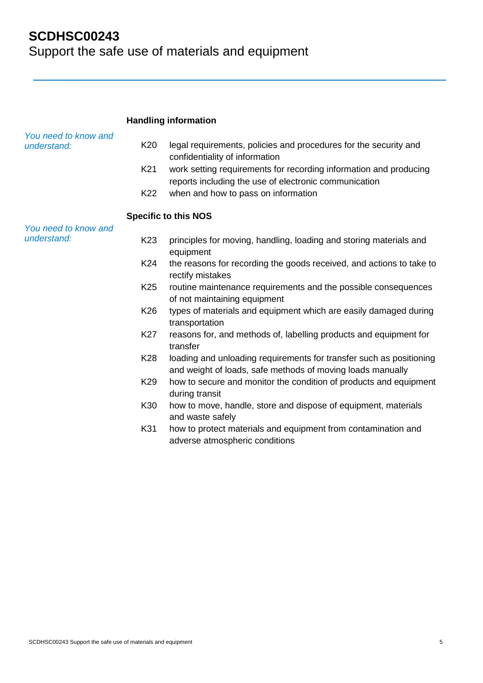|                                     | <b>Handling information</b> |                                                                                                                                   |  |
|-------------------------------------|-----------------------------|-----------------------------------------------------------------------------------------------------------------------------------|--|
| You need to know and<br>understand: | K <sub>20</sub>             | legal requirements, policies and procedures for the security and<br>confidentiality of information                                |  |
|                                     | K21                         | work setting requirements for recording information and producing<br>reports including the use of electronic communication        |  |
|                                     | K22                         | when and how to pass on information                                                                                               |  |
|                                     |                             | <b>Specific to this NOS</b>                                                                                                       |  |
| You need to know and                |                             |                                                                                                                                   |  |
| understand:                         | K <sub>23</sub>             | principles for moving, handling, loading and storing materials and<br>equipment                                                   |  |
|                                     | K24                         | the reasons for recording the goods received, and actions to take to<br>rectify mistakes                                          |  |
|                                     | K <sub>25</sub>             | routine maintenance requirements and the possible consequences<br>of not maintaining equipment                                    |  |
|                                     | K26                         | types of materials and equipment which are easily damaged during<br>transportation                                                |  |
|                                     | <b>K27</b>                  | reasons for, and methods of, labelling products and equipment for<br>transfer                                                     |  |
|                                     | K28                         | loading and unloading requirements for transfer such as positioning<br>and weight of loads, safe methods of moving loads manually |  |
|                                     | K29                         | how to secure and monitor the condition of products and equipment<br>during transit                                               |  |
|                                     | K30                         | how to move, handle, store and dispose of equipment, materials<br>and waste safely                                                |  |
|                                     | K31                         | how to protect materials and equipment from contamination and<br>adverse atmospheric conditions                                   |  |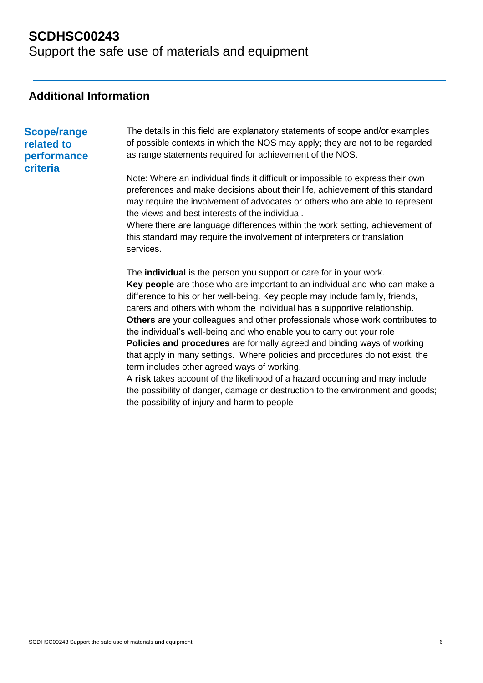Support the safe use of materials and equipment

## **Additional Information**

## **Scope/range related to performance criteria**

The details in this field are explanatory statements of scope and/or examples of possible contexts in which the NOS may apply; they are not to be regarded as range statements required for achievement of the NOS.

Note: Where an individual finds it difficult or impossible to express their own preferences and make decisions about their life, achievement of this standard may require the involvement of advocates or others who are able to represent the views and best interests of the individual.

Where there are language differences within the work setting, achievement of this standard may require the involvement of interpreters or translation services.

The **individual** is the person you support or care for in your work. **Key people** are those who are important to an individual and who can make a difference to his or her well-being. Key people may include family, friends, carers and others with whom the individual has a supportive relationship. **Others** are your colleagues and other professionals whose work contributes to the individual's well-being and who enable you to carry out your role **Policies and procedures** are formally agreed and binding ways of working that apply in many settings. Where policies and procedures do not exist, the term includes other agreed ways of working.

A **risk** takes account of the likelihood of a hazard occurring and may include the possibility of danger, damage or destruction to the environment and goods; the possibility of injury and harm to people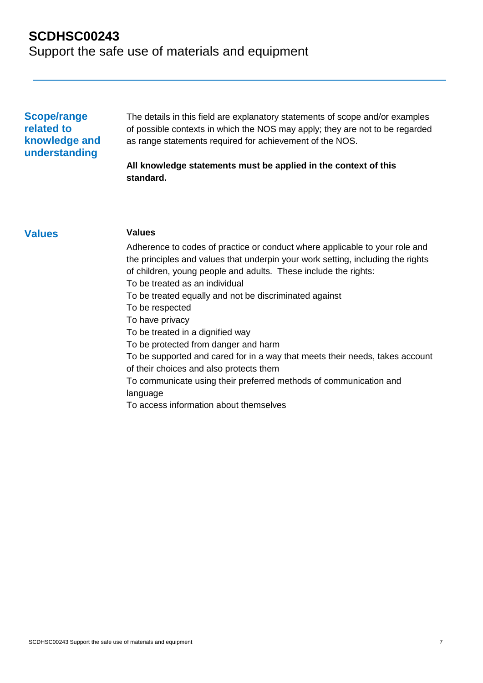Support the safe use of materials and equipment

## **Scope/range related to knowledge and understanding**

The details in this field are explanatory statements of scope and/or examples of possible contexts in which the NOS may apply; they are not to be regarded as range statements required for achievement of the NOS.

### **All knowledge statements must be applied in the context of this standard.**

### **Values Values**

Adherence to codes of practice or conduct where applicable to your role and the principles and values that underpin your work setting, including the rights of children, young people and adults. These include the rights: To be treated as an individual To be treated equally and not be discriminated against To be respected To have privacy To be treated in a dignified way To be protected from danger and harm To be supported and cared for in a way that meets their needs, takes account of their choices and also protects them To communicate using their preferred methods of communication and language To access information about themselves